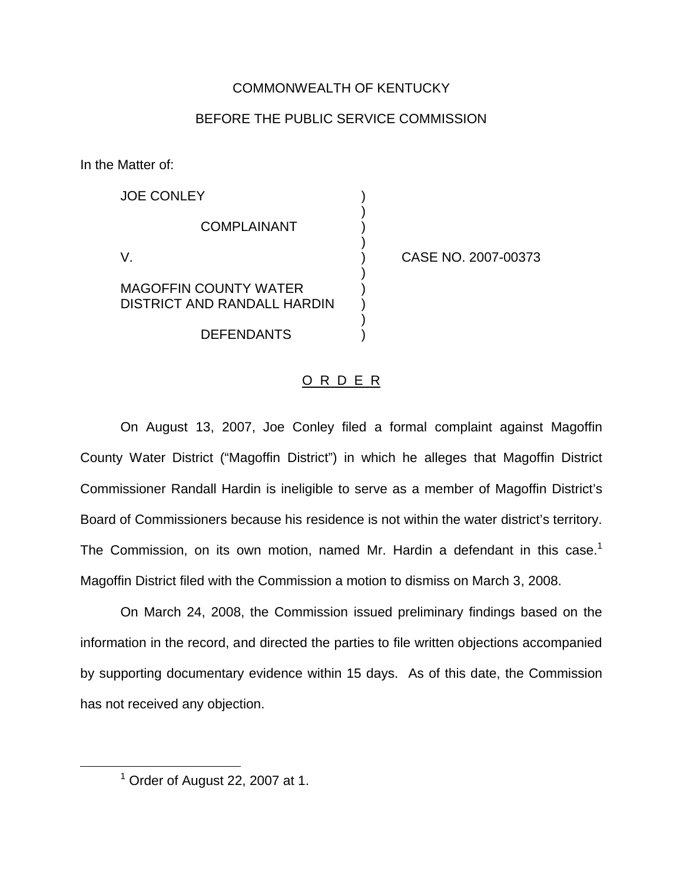## COMMONWEALTH OF KENTUCKY

## BEFORE THE PUBLIC SERVICE COMMISSION

)

In the Matter of:

| <b>JOE CONLEY</b>                                           |  |
|-------------------------------------------------------------|--|
| <b>COMPLAINANT</b>                                          |  |
| V                                                           |  |
| <b>MAGOFFIN COUNTY WATER</b><br>DISTRICT AND RANDALL HARDIN |  |

**DEFENDANTS** 

CASE NO. 2007-00373

## O R D E R

On August 13, 2007, Joe Conley filed a formal complaint against Magoffin County Water District ("Magoffin District") in which he alleges that Magoffin District Commissioner Randall Hardin is ineligible to serve as a member of Magoffin District's Board of Commissioners because his residence is not within the water district's territory. The Commission, on its own motion, named Mr. Hardin a defendant in this case.<sup>1</sup> Magoffin District filed with the Commission a motion to dismiss on March 3, 2008.

On March 24, 2008, the Commission issued preliminary findings based on the information in the record, and directed the parties to file written objections accompanied by supporting documentary evidence within 15 days. As of this date, the Commission has not received any objection.

 $<sup>1</sup>$  Order of August 22, 2007 at 1.</sup>